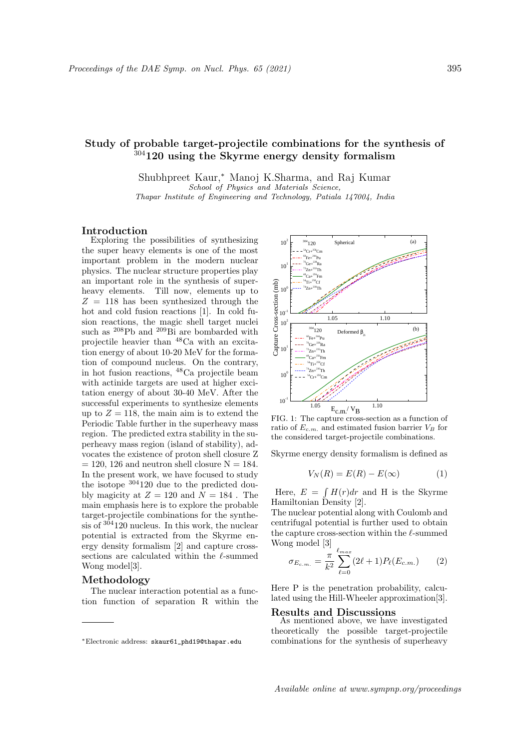# Study of probable target-projectile combinations for the synthesis of  $304120$  using the Skyrme energy density formalism

Shubhpreet Kaur,<sup>∗</sup> Manoj K.Sharma, and Raj Kumar School of Physics and Materials Science, Thapar Institute of Engineering and Technology, Patiala 147004, India

### Introduction

Exploring the possibilities of synthesizing the super heavy elements is one of the most important problem in the modern nuclear physics. The nuclear structure properties play an important role in the synthesis of superheavy elements. Till now, elements up to  $Z = 118$  has been synthesized through the hot and cold fusion reactions [1]. In cold fusion reactions, the magic shell target nuclei such as  $^{208}\text{Pb}$  and  $^{209}\text{Bi}$  are bombarded with projectile heavier than <sup>48</sup>Ca with an excitation energy of about 10-20 MeV for the formation of compound nucleus. On the contrary, in hot fusion reactions, <sup>48</sup>Ca projectile beam with actinide targets are used at higher excitation energy of about 30-40 MeV. After the successful experiments to synthesize elements up to  $Z = 118$ , the main aim is to extend the Periodic Table further in the superheavy mass region. The predicted extra stability in the superheavy mass region (island of stability), advocates the existence of proton shell closure Z  $= 120, 126$  and neutron shell closure  $N = 184$ . In the present work, we have focused to study the isotope <sup>304</sup>120 due to the predicted doubly magicity at  $Z = 120$  and  $N = 184$ . The main emphasis here is to explore the probable target-projectile combinations for the synthesis of <sup>304</sup>120 nucleus. In this work, the nuclear potential is extracted from the Skyrme energy density formalism [2] and capture crosssections are calculated within the  $\ell$ -summed Wong model[3].

## Methodology

The nuclear interaction potential as a function function of separation R within the



FIG. 1: The capture cross-section as a function of ratio of  $E_{c.m.}$  and estimated fusion barrier  $V_B$  for the considered target-projectile combinations.

Skyrme energy density formalism is defined as

$$
V_N(R) = E(R) - E(\infty)
$$
 (1)

Here,  $E = \int H(r) dr$  and H is the Skyrme Hamiltonian Density [2].

The nuclear potential along with Coulomb and centrifugal potential is further used to obtain the capture cross-section within the  $\ell$ -summed Wong model [3]

$$
\sigma_{E_{c.m.}} = \frac{\pi}{k^2} \sum_{\ell=0}^{\ell_{max}} (2\ell+1) P_{\ell}(E_{c.m.}) \qquad (2)
$$

Here P is the penetration probability, calculated using the Hill-Wheeler approximation[3].

#### Results and Discussions

As mentioned above, we have investigated theoretically the possible target-projectile combinations for the synthesis of superheavy

<sup>∗</sup>Electronic address: skaur61\_phd19@thapar.edu